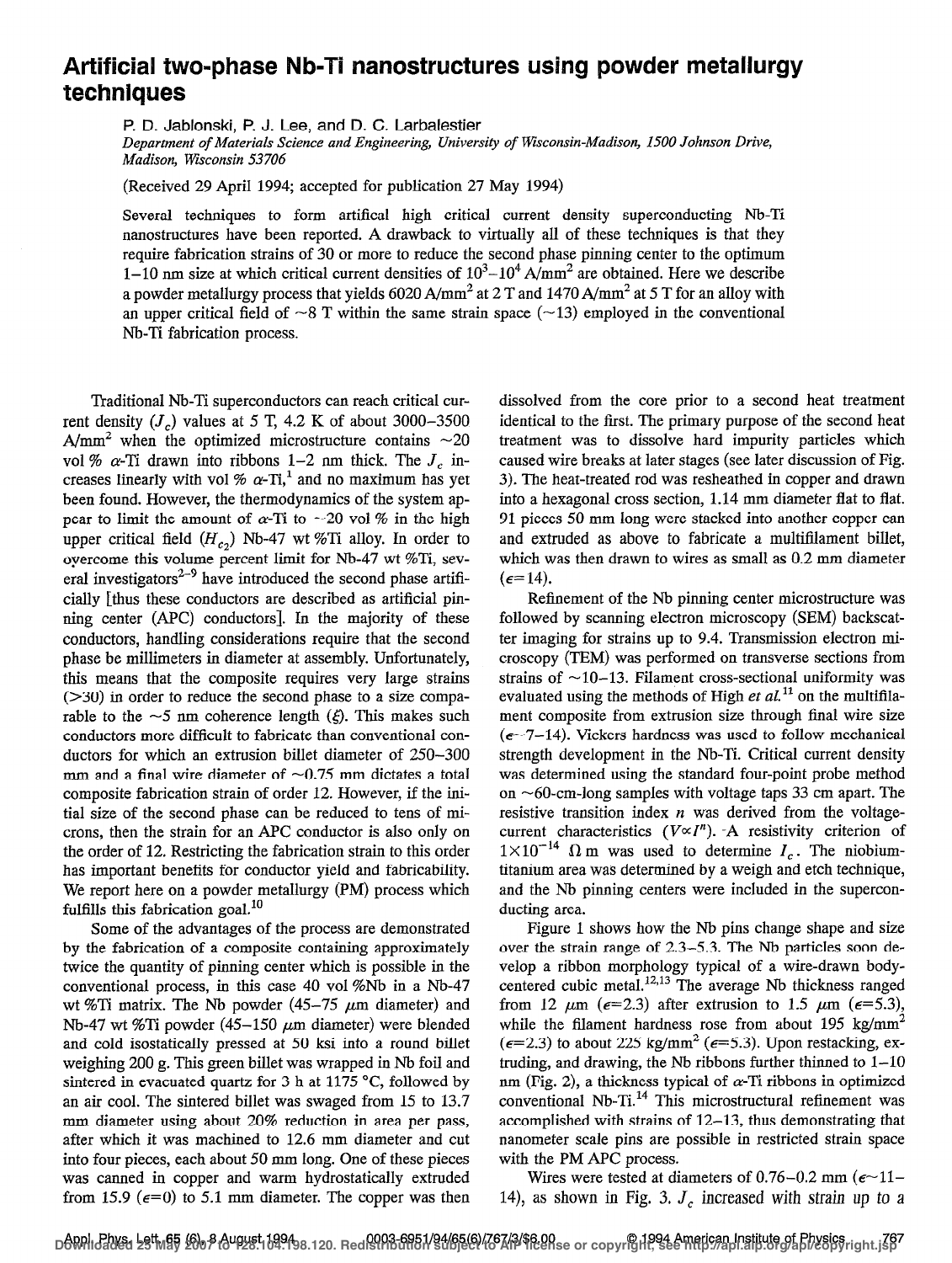## Artificial two-phase Nb-Ti nanostructures using powder metallurgy techniques

P. D. Jablonski, P.J. Lee, and D. C. Larbalestier

Department of Materials Science and Engineering, University of Wisconsin-Madison, 1500 Johnson Drive, Madison, Wisconsin 53706

(Received 29 April 1994; accepted for publication 27 May 1994)

Several techniques to form artifical high critical current density superconducting Nb-Ti nanostructures have been reported. A drawback to virtually all of these techniques is that they require fabrication strains of 30 or more to reduce the second phase pinning center to the optimum 1–10 nm size at which critical current densities of  $10^3$ – $10^4$  A/mm<sup>2</sup> are obtained. Here we describe a powder metallurgy process that yields 6020 A/mm<sup>2</sup> at 2 T and 1470 A/mm<sup>2</sup> at 5 T for an alloy with an upper critical field of  $\sim$ 8 T within the same strain space ( $\sim$ 13) employed in the conventional Nb-Ti fabrication process.

Traditional Nb-Ti superconductors can reach critical current density  $(J_c)$  values at 5 T, 4.2 K of about 3000–3500 A/mm<sup>2</sup> when the optimized microstructure contains  $\sim$ 20 vol %  $\alpha$ -Ti drawn into ribbons 1–2 nm thick. The  $J_c$  increases linearly with vol  $% \alpha$ -Ti,<sup>1</sup> and no maximum has yet been found. However, the thermodynamics of the system appear to limit the amount of  $\alpha$ -Ti to  $\sim$  20 vol % in the high upper critical field  $(H_{c2})$  Nb-47 wt %Ti alloy. In order to overcome this volume percent limit for Nb-47 wt %Ti, several investigators<sup>2-9</sup> have introduced the second phase artificially [thus these conductors are described as artificial pinning center (APC) conductors]. In the majority of these conductors, handling considerations require that the second phase be millimeters in diameter at assembly. Unfortunately, this means that the composite requires very large strains  $(>=30)$  in order to reduce the second phase to a size comparable to the  $\sim$ 5 nm coherence length ( $\xi$ ). This makes such conductors more difficult to fabricate than conventional conductors for which an extrusion billet diameter of  $250-300$ mm and a final wire diameter of  $\sim 0.75$  mm dictates a total composite fabrication strain of order 12. However, if the initial size of the second phase can be reduced to tens of microns, then the strain for an APC conductor is also only on the order of 12. Restricting the fabrication strain to this order has important benefits for conductor yield and fabricability. We report here on a powder metallurgy (PM) process which fulfills this fabrication goal. $^{10}$ 

Some of the advantages of the process are demonstrated by the fabrication of a composite containing approximately twice the quantity of pinning center which is possible in the conventional process, in this case 40 vol %Nb in a Nb-47 wt %Ti matrix. The Nb powder  $(45-75 \mu m)$  diameter) and Nb-47 wt %Ti powder (45-150  $\mu$ m diameter) were blended and cold isostatically pressedat 50 ksi into a round billet weighing 200 g. This green billet was wrapped in Nb foil and sintered in evacuated quartz for 3 h at 1175  $\degree$ C, followed by an air cool. The sintered billet was swaged from 15 to 13.7 mm diameter using about 20% reduction in area per pass, after which it was machined to 12.6 mm diameter and cut into four pieces, each about 50 mm long. One of these pieces was canned in copper and warm hydrostatically extruded from 15.9 ( $\epsilon$ =0) to 5.1 mm diameter. The copper was then dissolved from the core prior to a second heat treatment identical to the first. The primary purpose of the second heat treatment was to dissolve hard impurity particles which caused wire breaks at later stages (see later discussion of Fig. 3). The heat-treated rod was resheathed in copper and drawn into a hexagonal cross section, 1.14 mm diameter flat to flat. 91 pieces 50 mm long were stacked into another copper can and extruded as above to fabricate a multifilament billet, which was then drawn to wires as small as 0.2 mm diameter  $(\epsilon = 14).$ 

Refinement of the Nb pinning center microstructure was followed by scanning electron microscopy (SEM) backscatter imaging for strains up to 9.4. Transmission electron microscopy (TEM) was performed on transverse sections from strains of  $\sim$ 10-13. Filament cross-sectional uniformity was evaluated using the methods of High et  $al<sup>11</sup>$  on the multifilament composite from extrusion size through final wire size  $(e-7-14)$ . Vickers hardness was used to follow mechanical strength development in the Nb-Ti. Critical current density was determined using the standard four-point probe method on  $~60$ -cm-long samples with voltage taps 33 cm apart. The resistive transition index  $n$  was derived from the voltagecurrent characteristics  $(V \propto I^n)$ . -A resistivity criterion of  $1\times10^{-14}$   $\Omega$  m was used to determine  $I_c$ . The niobiumtitanium area was determined by a weigh and etch technique, and the Nb pinning centers were included in the superconducting area.

Figure 1 shows how the Nb pins change shape and size over the strain range of  $2.3-5.3$ . The Nb particles soon develop a ribbon morphology typical of a wire-drawn bodycentered cubic metal.<sup>12,13</sup> The average Nb thickness ranged from 12  $\mu$ m ( $\epsilon$ =2.3) after extrusion to 1.5  $\mu$ m ( $\epsilon$ =5.3), while the filament hardness rose from about 195 kg/mm<sup>2</sup> ( $\epsilon$ =2.3) to about 225 kg/mm<sup>2</sup> ( $\epsilon$ =5.3). Upon restacking, extruding, and drawing, the Nb ribbons further thinned to  $1-10$ nm (Fig. 2), a thickness typical of  $\alpha$ -Ti ribbons in optimized conventional Nb-Ti. $^{14}$  This microstructural refinement was accomplished with strains of  $12-13$ , thus demonstrating that nanometer scale pins are possible in restricted strain space with the PM APC process.

Wires were tested at diameters of 0.76-0.2 mm ( $\epsilon$ ~11-14), as shown in Fig. 3,  $J_c$  increased with strain up to a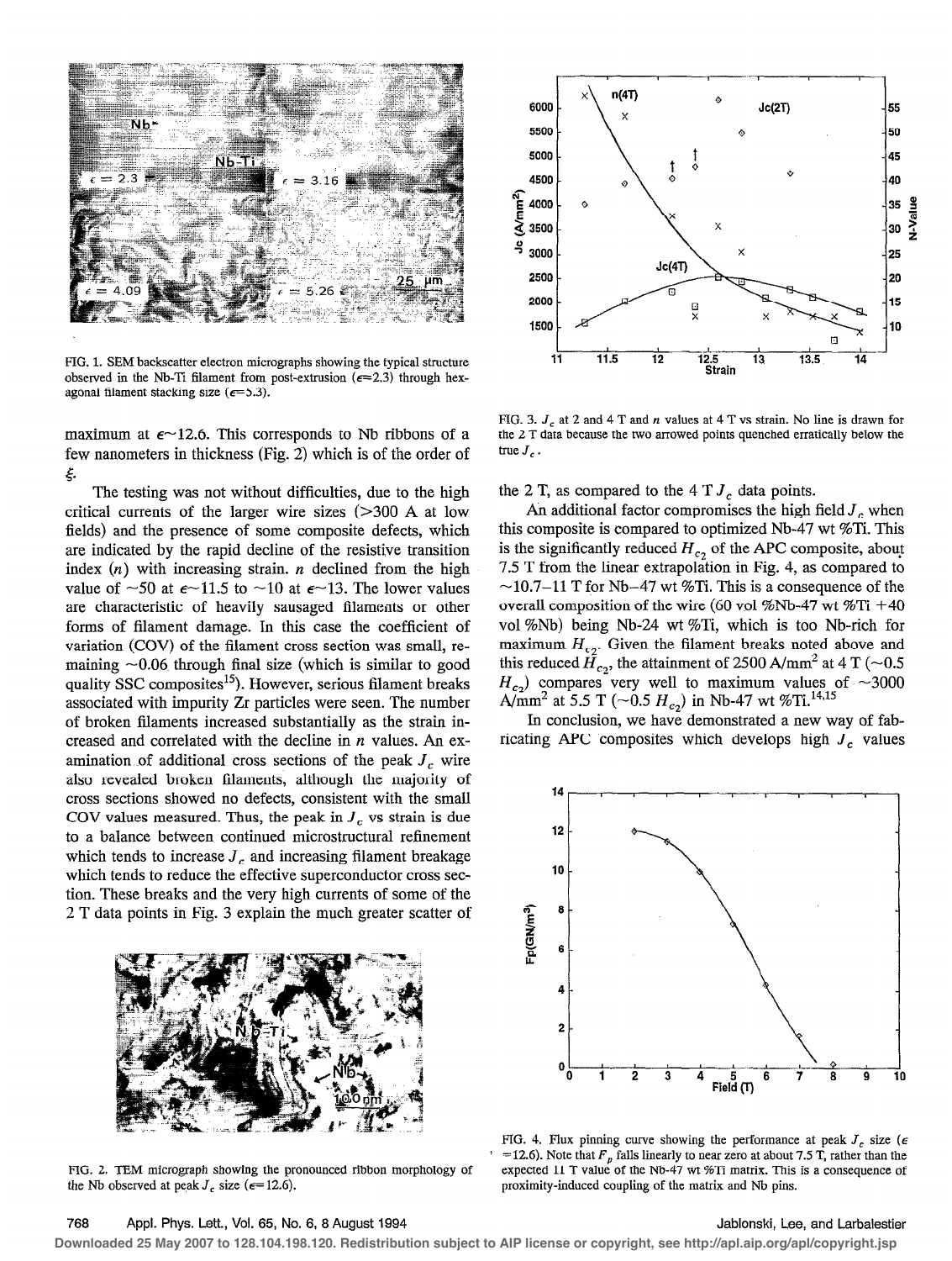

FIG, 1. SEM backscatter electron micrographs showing the typical structure observed in the Nb-Ti filament from post-extrusion ( $\epsilon = 2.3$ ) through hexagonal filament stacking size ( $\epsilon$ =5.3).

maximum at  $\epsilon$ ~12.6. This corresponds to Nb ribbons of a few nanometers in thickness (Fig. 2) which is of the order of ξ.

The testing was not without difficulties, due to the high critical currents of the larger wire sizes  $(>300 \text{ A at low})$ fields) and the presence of some composite defects, which are indicated by the rapid decline of the resistive transition index  $(n)$  with increasing strain. *n* declined from the high value of  $\sim$ 50 at  $\epsilon$  $\sim$ 11.5 to  $\sim$ 10 at  $\epsilon$  $\sim$ 13. The lower values are characteristic of heavily sausaged filaments or other forms of filament damage. In this case the coefficient of variation (COV) of the filament cross section was small, remaining  $\sim 0.06$  through final size (which is similar to good quality SSC composites<sup>15</sup>). However, serious filament breaks associated with impurity Zr particles were seen. The number of broken filaments increased substantially as the strain increased and correlated with the decline in  $n$  values. An examination of additional cross sections of the peak  $J<sub>c</sub>$  wire also revealed broken filaments, although the majority of cross sections showed no defects, consistent with the small COV values measured. Thus, the peak in  $J_c$  vs strain is due to a balance between continued microstructural refinement which tends to increase  $J_c$  and increasing filament breakage which tends to reduce the effective superconductor cross section. These breaks and the very high currents of some of the 2 T data points in Fig. 3 explain the much greater scatter of



FIG. 2. TEM micrograph showing the pronounced ribbon morphology of the Nb observed at peak  $J_c$  size ( $\epsilon$ =12.6).



FIG. 3.  $J_c$  at 2 and 4 T and n values at 4 T vs strain. No line is drawn for the 2 T data because the two arrowed points quenched erratically below the true  $J_c$ .

the 2 T, as compared to the 4 T  $J_c$  data points.

An additional factor compromises the high field  $J_c$  when this composite is compared to optimized Nb-47 wt %Ti. This is the significantly reduced  $H_c$ , of the APC composite, about 7.5 T from the linear extrapolation in Fig. 4, as compared to  $\sim$ 10.7–11 T for Nb–47 wt %Ti. This is a consequence of the overall composition of the wire (60 vol %Nb-47 wt %Ti +40 vol %Nb) being Nb-24 wt %Ti, which is too Nb-rich for maximum  $H_{c2}$ . Given the filament breaks noted above and this reduced  $\hat{H}_{c_2}$ , the attainment of 2500 A/mm<sup>2</sup> at 4 T (~0.5)  $H_{c_2}$ ) compares very well to maximum values of ~3000 A/mm<sup>2</sup> at 5.5 T (~0.5  $H_{c_2}$ ) in Nb-47 wt %Ti.<sup>14,15</sup>

In conclusion, we have demonstrated a new way of fabricating APC composites which develops high  $J_c$  values



FIG. 4. Flux pinning curve showing the performance at peak  $J_c$  size ( $\epsilon$ =12.6). Note that  $F_p$  falls linearly to near zero at about 7.5 T, rather than the expected 11 T value of the Nb-47 wt %Ti matrix. This is a consequence of proximity-induced coupling of the matrix and Nb pins.

## 768 Appl. Phys. Lett., Vol. 65, No. 6, 8 August 1994

## Jablonski, Lee, and Larbalestier

Downloaded 25 May 2007 to 128.104.198.120. Redistribution subject to AIP license or copyright, see http://apl.aip.org/apl/copyright.jsp